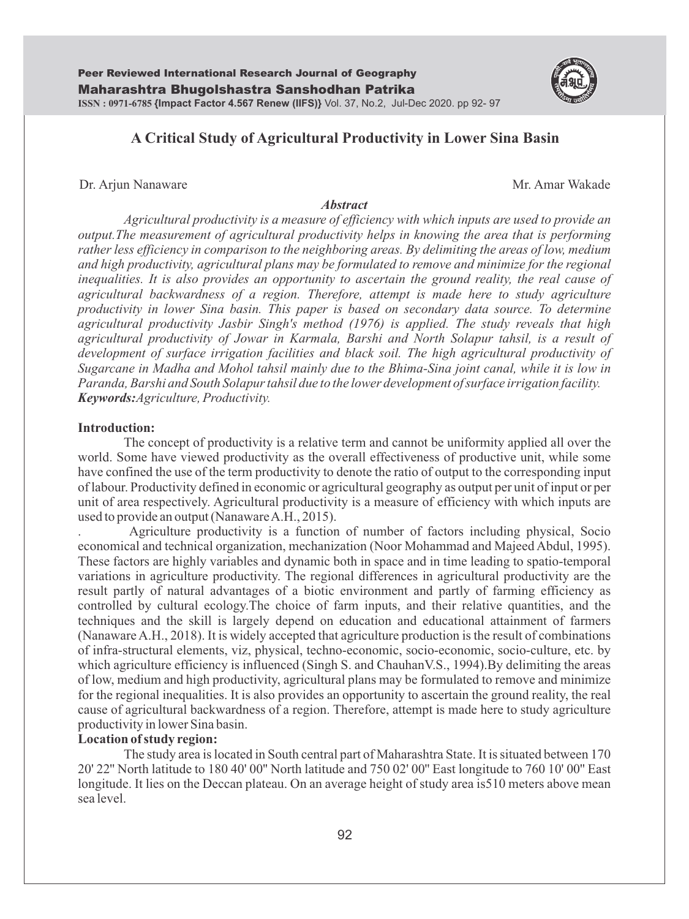

# **A Critical Study of Agricultural Productivity in Lower Sina Basin**

## Dr. Arjun Nanaware **Mr. Amar Wakade** Mr. Amar Wakade

#### *Abstract*

*Agricultural productivity is a measure of efficiency with which inputs are used to provide an output.The measurement of agricultural productivity helps in knowing the area that is performing rather less efficiency in comparison to the neighboring areas. By delimiting the areas of low, medium and high productivity, agricultural plans may be formulated to remove and minimize for the regional inequalities. It is also provides an opportunity to ascertain the ground reality, the real cause of agricultural backwardness of a region. Therefore, attempt is made here to study agriculture productivity in lower Sina basin. This paper is based on secondary data source. To determine agricultural productivity Jasbir Singh's method (1976) is applied. The study reveals that high agricultural productivity of Jowar in Karmala, Barshi and North Solapur tahsil, is a result of development of surface irrigation facilities and black soil. The high agricultural productivity of Sugarcane in Madha and Mohol tahsil mainly due to the Bhima-Sina joint canal, while it is low in Paranda, Barshi and South Solapur tahsil due to the lower development of surface irrigation facility. Keywords:Agriculture, Productivity.*

### **Introduction:**

The concept of productivity is a relative term and cannot be uniformity applied all over the world. Some have viewed productivity as the overall effectiveness of productive unit, while some have confined the use of the term productivity to denote the ratio of output to the corresponding input of labour. Productivity defined in economic or agricultural geography as output per unit of input or per unit of area respectively. Agricultural productivity is a measure of efficiency with which inputs are used to provide an output (Nanaware A.H., 2015).

. Agriculture productivity is a function of number of factors including physical, Socio economical and technical organization, mechanization (Noor Mohammad and Majeed Abdul, 1995). These factors are highly variables and dynamic both in space and in time leading to spatio-temporal variations in agriculture productivity. The regional differences in agricultural productivity are the result partly of natural advantages of a biotic environment and partly of farming efficiency as controlled by cultural ecology.The choice of farm inputs, and their relative quantities, and the techniques and the skill is largely depend on education and educational attainment of farmers (Nanaware A.H., 2018). It is widely accepted that agriculture production is the result of combinations of infra-structural elements, viz, physical, techno-economic, socio-economic, socio-culture, etc. by which agriculture efficiency is influenced (Singh S. and ChauhanV.S., 1994).By delimiting the areas of low, medium and high productivity, agricultural plans may be formulated to remove and minimize for the regional inequalities. It is also provides an opportunity to ascertain the ground reality, the real cause of agricultural backwardness of a region. Therefore, attempt is made here to study agriculture productivity in lower Sina basin.

# **Location of study region:**

The study area is located in South central part of Maharashtra State. It is situated between 170 20' 22'' North latitude to 180 40' 00'' North latitude and 750 02' 00'' East longitude to 760 10' 00'' East longitude. It lies on the Deccan plateau. On an average height of study area is510 meters above mean sea level.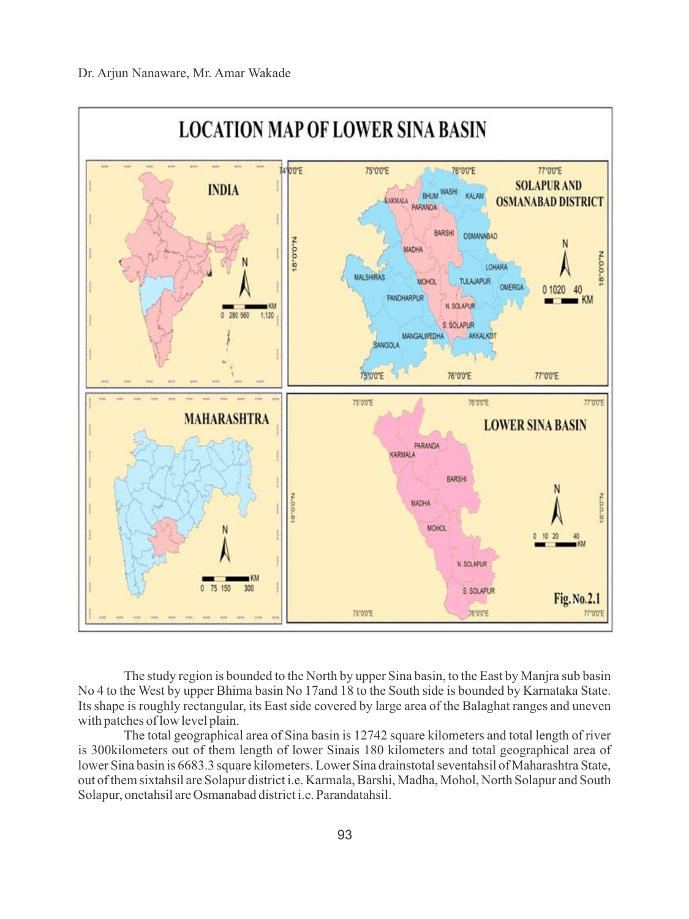

The study region is bounded to the North by upper Sina basin, to the East by Manjra sub basin No 4 to the West by upper Bhima basin No 17and 18 to the South side is bounded by Karnataka State. Its shape is roughly rectangular, its East side covered by large area of the Balaghat ranges and uneven with patches of low level plain.

The total geographical area of Sina basin is 12742 square kilometers and total length of river is 300kilometers out of them length of lower Sinais 180 kilometers and total geographical area of lower Sina basin is 6683.3 square kilometers. Lower Sina drainstotal seventahsil of Maharashtra State, out of them sixtahsil are Solapur district i.e. Karmala, Barshi, Madha, Mohol, North Solapur and South Solapur, onetahsil are Osmanabad district i.e. Parandatahsil.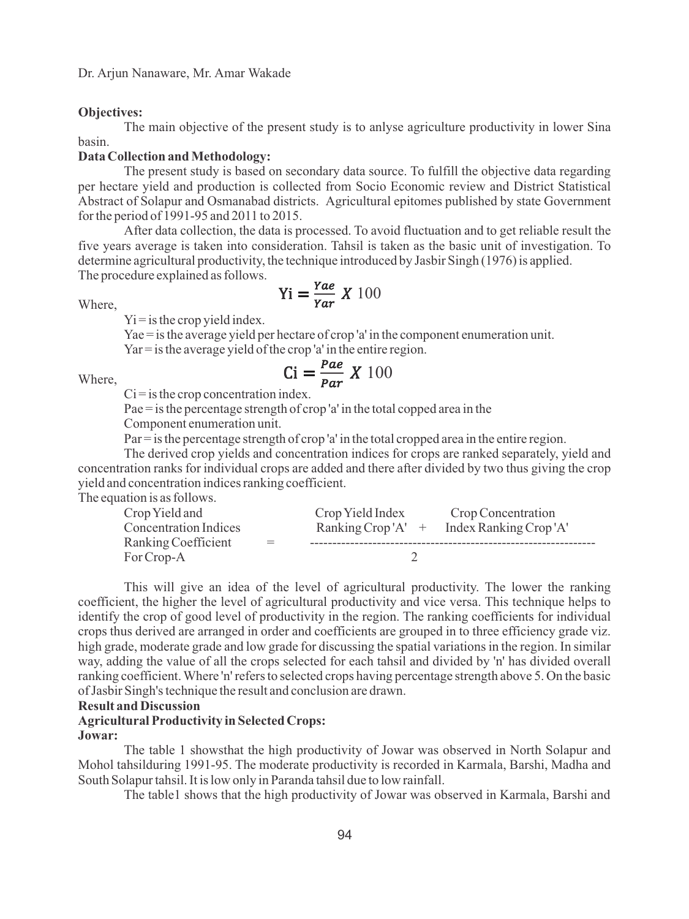### **Objectives:**

The main objective of the present study is to anlyse agriculture productivity in lower Sina basin.

# **Data Collection and Methodology:**

The present study is based on secondary data source. To fulfill the objective data regarding per hectare yield and production is collected from Socio Economic review and District Statistical Abstract of Solapur and Osmanabad districts. Agricultural epitomes published by state Government for the period of 1991-95 and 2011 to 2015.

After data collection, the data is processed. To avoid fluctuation and to get reliable result the five years average is taken into consideration. Tahsil is taken as the basic unit of investigation. To determine agricultural productivity, the technique introduced by Jasbir Singh (1976) is applied. The procedure explained as follows.

Where,

$$
Yi = \frac{Yae}{Yar} X 100
$$

 $Y_i$  = is the crop yield index.

Yae = is the average yield per hectare of crop 'a' in the component enumeration unit.

Yar = is the average yield of the crop 'a' in the entire region.  $Ci = \frac{Pae}{Par} X 100$ 

### Where,

 $Ci = is$  the crop concentration index.

Pae = is the percentage strength of crop 'a' in the total copped area in the

Component enumeration unit.

Par = is the percentage strength of crop 'a' in the total cropped area in the entire region.

The derived crop yields and concentration indices for crops are ranked separately, yield and concentration ranks for individual crops are added and there after divided by two thus giving the crop yield and concentration indices ranking coefficient.

The equation is as follows.

| Crop Yield and               |     | Crop Yield Index     | Crop Concentration    |
|------------------------------|-----|----------------------|-----------------------|
| <b>Concentration Indices</b> |     | Ranking Crop' $A'$ + | Index Ranking Crop'A' |
| Ranking Coefficient          | $=$ |                      |                       |
| For Crop-A                   |     |                      |                       |

This will give an idea of the level of agricultural productivity. The lower the ranking coefficient, the higher the level of agricultural productivity and vice versa. This technique helps to identify the crop of good level of productivity in the region. The ranking coefficients for individual crops thus derived are arranged in order and coefficients are grouped in to three efficiency grade viz. high grade, moderate grade and low grade for discussing the spatial variations in the region. In similar way, adding the value of all the crops selected for each tahsil and divided by 'n' has divided overall ranking coefficient. Where 'n' refers to selected crops having percentage strength above 5. On the basic of Jasbir Singh's technique the result and conclusion are drawn.

### **Result and Discussion**

#### **Agricultural Productivity in Selected Crops: Jowar:**

The table 1 showsthat the high productivity of Jowar was observed in North Solapur and Mohol tahsilduring 1991-95. The moderate productivity is recorded in Karmala, Barshi, Madha and South Solapur tahsil. It is low only in Paranda tahsil due to low rainfall.

The table1 shows that the high productivity of Jowar was observed in Karmala, Barshi and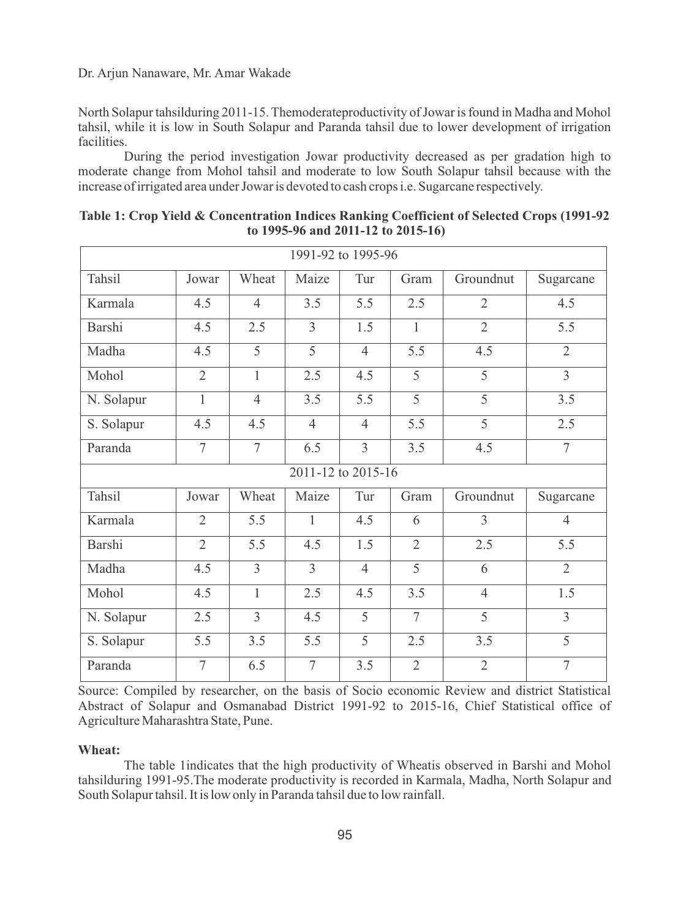## Dr. Arjun Nanaware, Mr. Amar Wakade

North Solapur tahsilduring 2011-15. Themoderateproductivity of Jowar is found in Madha and Mohol tahsil, while it is low in South Solapur and Paranda tahsil due to lower development of irrigation facilities.

During the period investigation Jowar productivity decreased as per gradation high to moderate change from Mohol tahsil and moderate to low South Solapur tahsil because with the increase of irrigated area under Jowar is devoted to cash crops i.e. Sugarcane respectively.

| 1991-92 to 1995-96 |                |                |                |                |                |                |                  |  |  |
|--------------------|----------------|----------------|----------------|----------------|----------------|----------------|------------------|--|--|
| Tahsil             | Jowar          | Wheat          | Maize          | Tur            | Gram           | Groundnut      | Sugarcane        |  |  |
| Karmala            | 4.5            | $\overline{4}$ | 3.5            | 5.5            | 2.5            | $\overline{2}$ | 4.5              |  |  |
| Barshi             | 4.5            | 2.5            | $\overline{3}$ | 1.5            | $\mathbf{1}$   | $\overline{2}$ | 5.5              |  |  |
| Madha              | 4.5            | 5              | $\overline{5}$ | $\overline{4}$ | 5.5            | 4.5            | $\overline{2}$   |  |  |
| Mohol              | $\overline{2}$ | $\mathbf{1}$   | 2.5            | 4.5            | 5              | 5              | $\overline{3}$   |  |  |
| N. Solapur         | $\mathbf{1}$   | $\overline{4}$ | 3.5            | 5.5            | $\overline{5}$ | $\overline{5}$ | 3.5              |  |  |
| S. Solapur         | 4.5            | 4.5            | $\overline{4}$ | $\overline{4}$ | 5.5            | 5              | 2.5              |  |  |
| Paranda            | 7              | $\overline{7}$ | 6.5            | $\overline{3}$ | 3.5            | 4.5            | $\overline{7}$   |  |  |
| 2011-12 to 2015-16 |                |                |                |                |                |                |                  |  |  |
| Tahsil             | Jowar          | Wheat          | Maize          | Tur            | Gram           | Groundnut      | Sugarcane        |  |  |
| Karmala            | $\overline{2}$ | 5.5            | $\mathbf{1}$   | 4.5            | 6              | 3              | $\overline{4}$   |  |  |
| <b>Barshi</b>      | $\overline{2}$ | 5.5            | 4.5            | 1.5            | $\overline{2}$ | 2.5            | $\overline{5.5}$ |  |  |
| Madha              | 4.5            | $\overline{3}$ | $\overline{3}$ | $\overline{4}$ | 5              | 6              | $\overline{2}$   |  |  |
| Mohol              | 4.5            | $\mathbf{1}$   | 2.5            | 4.5            | 3.5            | $\overline{4}$ | 1.5              |  |  |
| N. Solapur         | 2.5            | $\overline{3}$ | 4.5            | 5              | $\tau$         | $\overline{5}$ | $\overline{3}$   |  |  |
| S. Solapur         | 5.5            | 3.5            | 5.5            | 5              | 2.5            | 3.5            | 5                |  |  |
| Paranda            | 7              | 6.5            | 7              | 3.5            | $\overline{2}$ | $\overline{2}$ | $\overline{7}$   |  |  |

**Table 1: Crop Yield & Concentration Indices Ranking Coefficient of Selected Crops (1991-92 to 1995-96 and 2011-12 to 2015-16)**

Source: Compiled by researcher, on the basis of Socio economic Review and district Statistical Abstract of Solapur and Osmanabad District 1991-92 to 2015-16, Chief Statistical office of Agriculture Maharashtra State, Pune.

#### **Wheat:**

The table 1indicates that the high productivity of Wheatis observed in Barshi and Mohol tahsilduring 1991-95.The moderate productivity is recorded in Karmala, Madha, North Solapur and South Solapur tahsil. It is low only in Paranda tahsil due to low rainfall.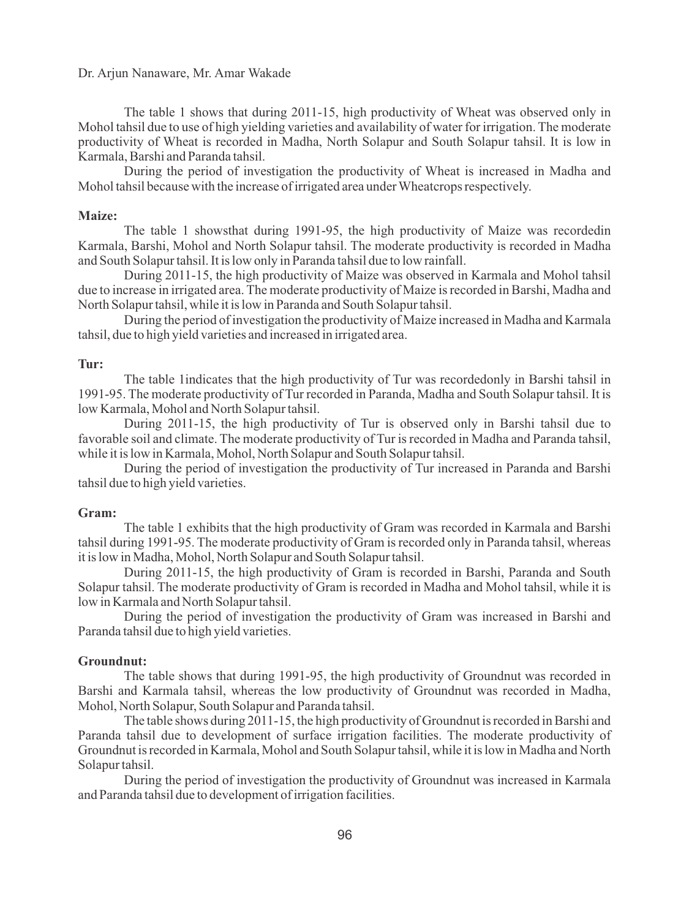The table 1 shows that during 2011-15, high productivity of Wheat was observed only in Mohol tahsil due to use of high yielding varieties and availability of water for irrigation. The moderate productivity of Wheat is recorded in Madha, North Solapur and South Solapur tahsil. It is low in Karmala, Barshi and Paranda tahsil.

During the period of investigation the productivity of Wheat is increased in Madha and Mohol tahsil because with the increase of irrigated area under Wheatcrops respectively.

#### **Maize:**

The table 1 showsthat during 1991-95, the high productivity of Maize was recordedin Karmala, Barshi, Mohol and North Solapur tahsil. The moderate productivity is recorded in Madha and South Solapur tahsil. It is low only in Paranda tahsil due to low rainfall.

During 2011-15, the high productivity of Maize was observed in Karmala and Mohol tahsil due to increase in irrigated area. The moderate productivity of Maize is recorded in Barshi, Madha and North Solapur tahsil, while it is low in Paranda and South Solapur tahsil.

During the period of investigation the productivity of Maize increased in Madha and Karmala tahsil, due to high yield varieties and increased in irrigated area.

#### **Tur:**

The table 1indicates that the high productivity of Tur was recordedonly in Barshi tahsil in 1991-95. The moderate productivity of Tur recorded in Paranda, Madha and South Solapur tahsil. It is low Karmala, Mohol and North Solapur tahsil.

During 2011-15, the high productivity of Tur is observed only in Barshi tahsil due to favorable soil and climate. The moderate productivity of Tur is recorded in Madha and Paranda tahsil, while it is low in Karmala, Mohol, North Solapur and South Solapur tahsil.

During the period of investigation the productivity of Tur increased in Paranda and Barshi tahsil due to high yield varieties.

#### **Gram:**

The table 1 exhibits that the high productivity of Gram was recorded in Karmala and Barshi tahsil during 1991-95. The moderate productivity of Gram is recorded only in Paranda tahsil, whereas it is low in Madha, Mohol, North Solapur and South Solapur tahsil.

During 2011-15, the high productivity of Gram is recorded in Barshi, Paranda and South Solapur tahsil. The moderate productivity of Gram is recorded in Madha and Mohol tahsil, while it is low in Karmala and North Solapur tahsil.

During the period of investigation the productivity of Gram was increased in Barshi and Paranda tahsil due to high yield varieties.

#### **Groundnut:**

The table shows that during 1991-95, the high productivity of Groundnut was recorded in Barshi and Karmala tahsil, whereas the low productivity of Groundnut was recorded in Madha, Mohol, North Solapur, South Solapur and Paranda tahsil.

The table shows during 2011-15, the high productivity of Groundnut is recorded in Barshi and Paranda tahsil due to development of surface irrigation facilities. The moderate productivity of Groundnut is recorded in Karmala, Mohol and South Solapur tahsil, while it is low in Madha and North Solapur tahsil.

During the period of investigation the productivity of Groundnut was increased in Karmala and Paranda tahsil due to development of irrigation facilities.